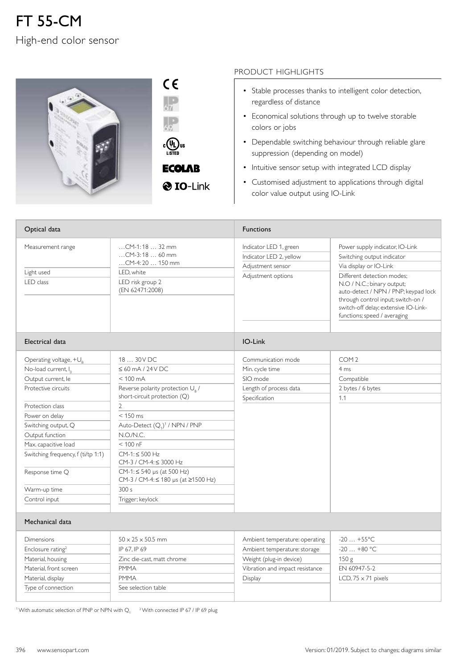## FT 55-CM High-end color sensor



| L)us<br>Ų<br>c<br>LISTED |  |
|--------------------------|--|

**ECOLAB** 

**O** IO-Link

## PRODUCT HIGHLIGHTS

- Stable processes thanks to intelligent color detection, regardless of distance
- Economical solutions through up to twelve storable colors or jobs
- Dependable switching behaviour through reliable glare suppression (depending on model)
- Intuitive sensor setup with integrated LCD display
- Customised adjustment to applications through digital color value output using IO-Link

| Optical data                                                                                                                                                                                                                                                                                                |                                                                                                                                                                                                                                                                                                                                                                                                                    | <b>Functions</b>                                                                                                                        |                                                                                                                                                                                                                                                                                                           |
|-------------------------------------------------------------------------------------------------------------------------------------------------------------------------------------------------------------------------------------------------------------------------------------------------------------|--------------------------------------------------------------------------------------------------------------------------------------------------------------------------------------------------------------------------------------------------------------------------------------------------------------------------------------------------------------------------------------------------------------------|-----------------------------------------------------------------------------------------------------------------------------------------|-----------------------------------------------------------------------------------------------------------------------------------------------------------------------------------------------------------------------------------------------------------------------------------------------------------|
| Measurement range<br>Light used<br>LED class                                                                                                                                                                                                                                                                | CM-1:18  32 mm<br>CM-3:18  60 mm<br>$$ CM-4:20 $$ 150 mm<br>LED, white<br>LED risk group 2<br>(EN 62471:2008)                                                                                                                                                                                                                                                                                                      | Indicator LED 1, green<br>Indicator LED 2, yellow<br>Adjustment sensor<br>Adjustment options                                            | Power supply indicator, IO-Link<br>Switching output indicator<br>Via display or IO-Link<br>Different detection modes:<br>N.O / N.C.; binary output;<br>auto-detect / NPN / PNP; keypad lock<br>through control input; switch-on /<br>switch-off delay; extensive IO-Link-<br>functions; speed / averaging |
| Electrical data                                                                                                                                                                                                                                                                                             |                                                                                                                                                                                                                                                                                                                                                                                                                    | IO-Link                                                                                                                                 |                                                                                                                                                                                                                                                                                                           |
| Operating voltage, $+U_R$<br>No-load current, I <sub>0</sub><br>Output current, le<br>Protective circuits<br>Protection class<br>Power on delay<br>Switching output, Q<br>Output function<br>Max. capacitive load<br>Switching frequency, f (ti/tp 1:1)<br>Response time Q<br>Warm-up time<br>Control input | 18  30 V DC<br>$\leq 60$ mA / 24 V DC<br>$< 100 \text{ mA}$<br>Reverse polarity protection U <sub>R</sub> /<br>short-circuit protection (Q)<br>$\overline{2}$<br>$< 150$ ms<br>Auto-Detect (Q <sub>1</sub> ) <sup>1</sup> / NPN / PNP<br>N.O./N.C.<br>$< 100$ nF<br>$CM-1:500 Hz$<br>CM-3 / CM-4: ≤ 3000 Hz<br>$CM-1: \leq 540$ µs (at 500 Hz)<br>CM-3 / CM-4: ≤ 180 µs (at ≥1500 Hz)<br>300 s<br>Trigger; keylock | Communication mode<br>Min. cycle time<br>SIO mode<br>Length of process data<br>Specification                                            | COM <sub>2</sub><br>4 ms<br>Compatible<br>2 bytes / 6 bytes<br>1.1                                                                                                                                                                                                                                        |
| Mechanical data                                                                                                                                                                                                                                                                                             |                                                                                                                                                                                                                                                                                                                                                                                                                    |                                                                                                                                         |                                                                                                                                                                                                                                                                                                           |
| Dimensions<br>Enclosure rating <sup>2</sup><br>Material, housing<br>Material, front screen<br>Material, display<br>Type of connection                                                                                                                                                                       | $50 \times 25 \times 50.5$ mm<br>IP 67. IP 69<br>Zinc die-cast, matt chrome<br><b>PMMA</b><br><b>PMMA</b><br>See selection table                                                                                                                                                                                                                                                                                   | Ambient temperature: operating<br>Ambient temperature: storage<br>Weight (plug-in device)<br>Vibration and impact resistance<br>Display | $-20+55$ °C<br>$-20+80$ °C<br>150 g<br>EN 60947-5-2<br>LCD, $75 \times 71$ pixels                                                                                                                                                                                                                         |

<sup>1</sup> With automatic selection of PNP or NPN with  $Q_1$   $^{-2}$  With connected IP 67 / IP 69 plug